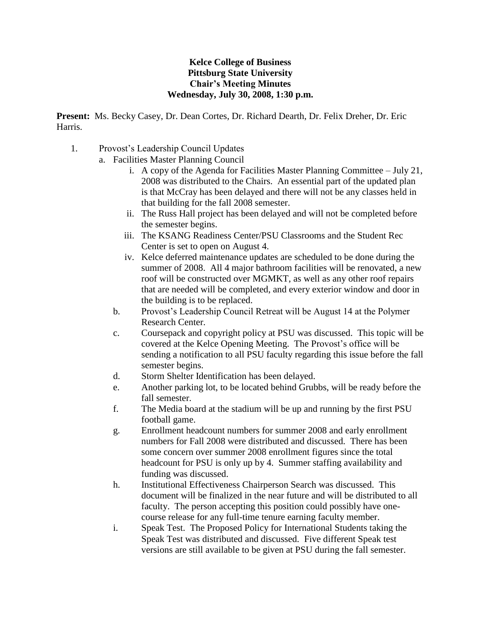## **Kelce College of Business Pittsburg State University Chair's Meeting Minutes Wednesday, July 30, 2008, 1:30 p.m.**

**Present:** Ms. Becky Casey, Dr. Dean Cortes, Dr. Richard Dearth, Dr. Felix Dreher, Dr. Eric Harris.

- 1. Provost's Leadership Council Updates
	- a. Facilities Master Planning Council
		- i. A copy of the Agenda for Facilities Master Planning Committee July 21, 2008 was distributed to the Chairs. An essential part of the updated plan is that McCray has been delayed and there will not be any classes held in that building for the fall 2008 semester.
		- ii. The Russ Hall project has been delayed and will not be completed before the semester begins.
		- iii. The KSANG Readiness Center/PSU Classrooms and the Student Rec Center is set to open on August 4.
		- iv. Kelce deferred maintenance updates are scheduled to be done during the summer of 2008. All 4 major bathroom facilities will be renovated, a new roof will be constructed over MGMKT, as well as any other roof repairs that are needed will be completed, and every exterior window and door in the building is to be replaced.
		- b. Provost's Leadership Council Retreat will be August 14 at the Polymer Research Center.
		- c. Coursepack and copyright policy at PSU was discussed. This topic will be covered at the Kelce Opening Meeting. The Provost's office will be sending a notification to all PSU faculty regarding this issue before the fall semester begins.
		- d. Storm Shelter Identification has been delayed.
		- e. Another parking lot, to be located behind Grubbs, will be ready before the fall semester.
		- f. The Media board at the stadium will be up and running by the first PSU football game.
		- g. Enrollment headcount numbers for summer 2008 and early enrollment numbers for Fall 2008 were distributed and discussed. There has been some concern over summer 2008 enrollment figures since the total headcount for PSU is only up by 4. Summer staffing availability and funding was discussed.
		- h. Institutional Effectiveness Chairperson Search was discussed. This document will be finalized in the near future and will be distributed to all faculty. The person accepting this position could possibly have onecourse release for any full-time tenure earning faculty member.
		- i. Speak Test. The Proposed Policy for International Students taking the Speak Test was distributed and discussed. Five different Speak test versions are still available to be given at PSU during the fall semester.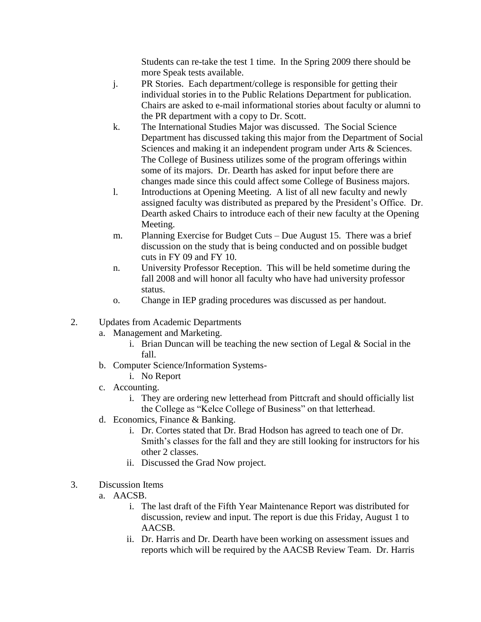Students can re-take the test 1 time. In the Spring 2009 there should be more Speak tests available.

- j. PR Stories. Each department/college is responsible for getting their individual stories in to the Public Relations Department for publication. Chairs are asked to e-mail informational stories about faculty or alumni to the PR department with a copy to Dr. Scott.
- k. The International Studies Major was discussed. The Social Science Department has discussed taking this major from the Department of Social Sciences and making it an independent program under Arts & Sciences. The College of Business utilizes some of the program offerings within some of its majors. Dr. Dearth has asked for input before there are changes made since this could affect some College of Business majors.
- l. Introductions at Opening Meeting. A list of all new faculty and newly assigned faculty was distributed as prepared by the President's Office. Dr. Dearth asked Chairs to introduce each of their new faculty at the Opening Meeting.
- m. Planning Exercise for Budget Cuts Due August 15. There was a brief discussion on the study that is being conducted and on possible budget cuts in FY 09 and FY 10.
- n. University Professor Reception. This will be held sometime during the fall 2008 and will honor all faculty who have had university professor status.
- o. Change in IEP grading procedures was discussed as per handout.
- 2. Updates from Academic Departments
	- a. Management and Marketing.
		- i. Brian Duncan will be teaching the new section of Legal  $& Social$  in the fall.
	- b. Computer Science/Information Systems
		- i. No Report
	- c. Accounting.
		- i. They are ordering new letterhead from Pittcraft and should officially list the College as "Kelce College of Business" on that letterhead.
	- d. Economics, Finance & Banking.
		- i. Dr. Cortes stated that Dr. Brad Hodson has agreed to teach one of Dr. Smith's classes for the fall and they are still looking for instructors for his other 2 classes.
		- ii. Discussed the Grad Now project.
- 3. Discussion Items
	- a. AACSB.
		- i. The last draft of the Fifth Year Maintenance Report was distributed for discussion, review and input. The report is due this Friday, August 1 to AACSB.
		- ii. Dr. Harris and Dr. Dearth have been working on assessment issues and reports which will be required by the AACSB Review Team. Dr. Harris